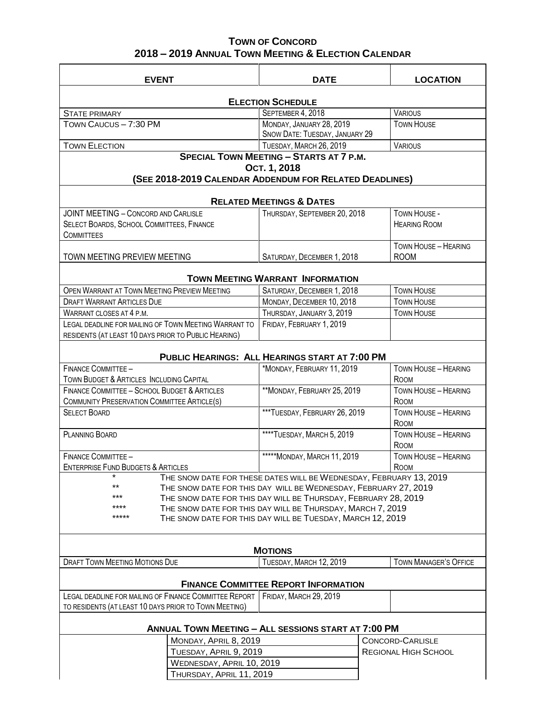## **TOWN OF CONCORD 2018 – 2019 ANNUAL TOWN MEETING & ELECTION CALENDAR**

| <b>EVENT</b>                                                                | <b>DATE</b>                                                | <b>LOCATION</b>                                        |  |
|-----------------------------------------------------------------------------|------------------------------------------------------------|--------------------------------------------------------|--|
| <b>ELECTION SCHEDULE</b>                                                    |                                                            |                                                        |  |
| <b>STATE PRIMARY</b>                                                        | SEPTEMBER 4, 2018                                          | <b>VARIOUS</b>                                         |  |
| TOWN CAUCUS - 7:30 PM                                                       | MONDAY, JANUARY 28, 2019                                   | <b>TOWN HOUSE</b>                                      |  |
|                                                                             | SNOW DATE: TUESDAY, JANUARY 29                             |                                                        |  |
| <b>TOWN ELECTION</b>                                                        | TUESDAY, MARCH 26, 2019                                    | <b>VARIOUS</b>                                         |  |
| <b>SPECIAL TOWN MEETING - STARTS AT 7 P.M.</b>                              |                                                            |                                                        |  |
| Ост. 1, 2018                                                                |                                                            |                                                        |  |
| (SEE 2018-2019 CALENDAR ADDENDUM FOR RELATED DEADLINES)                     |                                                            |                                                        |  |
| <b>RELATED MEETINGS &amp; DATES</b>                                         |                                                            |                                                        |  |
| <b>JOINT MEETING - CONCORD AND CARLISLE</b>                                 | THURSDAY, SEPTEMBER 20, 2018                               | TOWN HOUSE -                                           |  |
| SELECT BOARDS, SCHOOL COMMITTEES, FINANCE                                   |                                                            | <b>HEARING ROOM</b>                                    |  |
| <b>COMMITTEES</b>                                                           |                                                            |                                                        |  |
| TOWN MEETING PREVIEW MEETING                                                | SATURDAY, DECEMBER 1, 2018                                 | TOWN HOUSE - HEARING<br><b>ROOM</b>                    |  |
|                                                                             |                                                            |                                                        |  |
| <b>TOWN MEETING WARRANT INFORMATION</b>                                     |                                                            |                                                        |  |
| OPEN WARRANT AT TOWN MEETING PREVIEW MEETING                                | SATURDAY, DECEMBER 1, 2018                                 | <b>TOWN HOUSE</b>                                      |  |
| <b>DRAFT WARRANT ARTICLES DUE</b>                                           | MONDAY, DECEMBER 10, 2018                                  | <b>TOWN HOUSE</b>                                      |  |
| WARRANT CLOSES AT 4 P.M.                                                    | THURSDAY, JANUARY 3, 2019                                  | <b>TOWN HOUSE</b>                                      |  |
| LEGAL DEADLINE FOR MAILING OF TOWN MEETING WARRANT TO                       | FRIDAY, FEBRUARY 1, 2019                                   |                                                        |  |
| RESIDENTS (AT LEAST 10 DAYS PRIOR TO PUBLIC HEARING)                        |                                                            |                                                        |  |
| <b>PUBLIC HEARINGS: ALL HEARINGS START AT 7:00 PM</b>                       |                                                            |                                                        |  |
| <b>FINANCE COMMITTEE -</b>                                                  | *MONDAY, FEBRUARY 11, 2019                                 | <b>TOWN HOUSE - HEARING</b>                            |  |
| TOWN BUDGET & ARTICLES INCLUDING CAPITAL                                    |                                                            | ROOM                                                   |  |
| FINANCE COMMITTEE - SCHOOL BUDGET & ARTICLES                                | ** MONDAY, FEBRUARY 25, 2019                               | <b>TOWN HOUSE - HEARING</b>                            |  |
| COMMUNITY PRESERVATION COMMITTEE ARTICLE(S)                                 |                                                            | ROOM                                                   |  |
| <b>SELECT BOARD</b>                                                         | ***TUESDAY, FEBRUARY 26, 2019                              | TOWN HOUSE - HEARING<br>ROOM                           |  |
| <b>PLANNING BOARD</b>                                                       | ****TUESDAY, MARCH 5, 2019                                 | TOWN HOUSE - HEARING                                   |  |
|                                                                             |                                                            | ROOM                                                   |  |
| FINANCE COMMITTEE -                                                         | ***** MONDAY, MARCH 11, 2019                               | TOWN HOUSE - HEARING                                   |  |
| <b>ENTERPRISE FUND BUDGETS &amp; ARTICLES</b>                               |                                                            | ROOM                                                   |  |
| THE SNOW DATE FOR THESE DATES WILL BE WEDNESDAY, FEBRUARY 13, 2019          |                                                            |                                                        |  |
| $***$<br>THE SNOW DATE FOR THIS DAY WILL BE WEDNESDAY, FEBRUARY 27, 2019    |                                                            |                                                        |  |
| ***<br>THE SNOW DATE FOR THIS DAY WILL BE THURSDAY, FEBRUARY 28, 2019       |                                                            |                                                        |  |
| ****<br>THE SNOW DATE FOR THIS DAY WILL BE THURSDAY, MARCH 7, 2019<br>***** |                                                            |                                                        |  |
|                                                                             | THE SNOW DATE FOR THIS DAY WILL BE TUESDAY, MARCH 12, 2019 |                                                        |  |
|                                                                             |                                                            |                                                        |  |
| <b>DRAFT TOWN MEETING MOTIONS DUE</b>                                       | <b>MOTIONS</b>                                             | <b>TOWN MANAGER'S OFFICE</b>                           |  |
|                                                                             | TUESDAY, MARCH 12, 2019                                    |                                                        |  |
| <b>FINANCE COMMITTEE REPORT INFORMATION</b>                                 |                                                            |                                                        |  |
| LEGAL DEADLINE FOR MAILING OF FINANCE COMMITTEE REPORT                      | FRIDAY, MARCH 29, 2019                                     |                                                        |  |
| TO RESIDENTS (AT LEAST 10 DAYS PRIOR TO TOWN MEETING)                       |                                                            |                                                        |  |
| <b>ANNUAL TOWN MEETING - ALL SESSIONS START AT 7:00 PM</b>                  |                                                            |                                                        |  |
|                                                                             |                                                            |                                                        |  |
| MONDAY, APRIL 8, 2019                                                       |                                                            | <b>CONCORD-CARLISLE</b><br><b>REGIONAL HIGH SCHOOL</b> |  |
| TUESDAY, APRIL 9, 2019                                                      |                                                            |                                                        |  |
| WEDNESDAY, APRIL 10, 2019                                                   |                                                            |                                                        |  |
| THURSDAY, APRIL 11, 2019                                                    |                                                            |                                                        |  |